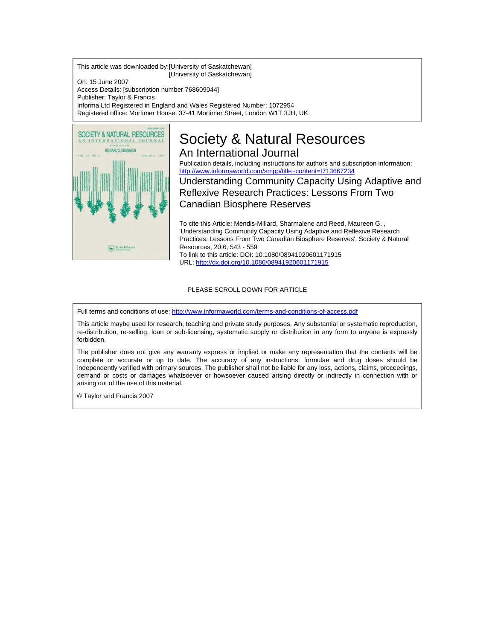This article was downloaded by:[University of Saskatchewan] [University of Saskatchewan]

On: 15 June 2007 Access Details: [subscription number 768609044] Publisher: Taylor & Francis Informa Ltd Registered in England and Wales Registered Number: 1072954 Registered office: Mortimer House, 37-41 Mortimer Street, London W1T 3JH, UK



# Society & Natural Resources An International Journal

Publication details, including instructions for authors and subscription information: <http://www.informaworld.com/smpp/title~content=t713667234>

Understanding Community Capacity Using Adaptive and Reflexive Research Practices: Lessons From Two Canadian Biosphere Reserves

To cite this Article: Mendis-Millard, Sharmalene and Reed, Maureen G. , 'Understanding Community Capacity Using Adaptive and Reflexive Research Practices: Lessons From Two Canadian Biosphere Reserves', Society & Natural Resources, 20:6, 543 - 559 To link to this article: DOI: 10.1080/08941920601171915

URL: <http://dx.doi.org/10.1080/08941920601171915>

# PLEASE SCROLL DOWN FOR ARTICLE

Full terms and conditions of use: <http://www.informaworld.com/terms-and-conditions-of-access.pdf>

This article maybe used for research, teaching and private study purposes. Any substantial or systematic reproduction, re-distribution, re-selling, loan or sub-licensing, systematic supply or distribution in any form to anyone is expressly forbidden.

The publisher does not give any warranty express or implied or make any representation that the contents will be complete or accurate or up to date. The accuracy of any instructions, formulae and drug doses should be independently verified with primary sources. The publisher shall not be liable for any loss, actions, claims, proceedings, demand or costs or damages whatsoever or howsoever caused arising directly or indirectly in connection with or arising out of the use of this material.

© Taylor and Francis 2007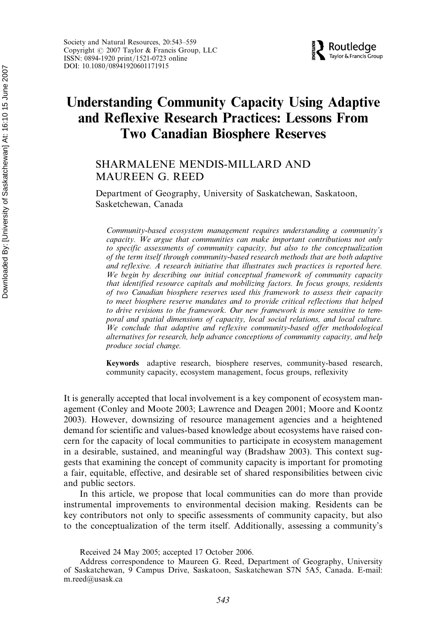

# Understanding Community Capacity Using Adaptive and Reflexive Research Practices: Lessons From Two Canadian Biosphere Reserves

SHARMALENE MENDIS-MILLARD AND MAUREEN G. REED

Department of Geography, University of Saskatchewan, Saskatoon, Sasketchewan, Canada

Community-based ecosystem management requires understanding a community's capacity. We argue that communities can make important contributions not only to specific assessments of community capacity, but also to the conceptualization of the term itself through community-based research methods that are both adaptive and reflexive. A research initiative that illustrates such practices is reported here. We begin by describing our initial conceptual framework of community capacity that identified resource capitals and mobilizing factors. In focus groups, residents of two Canadian biosphere reserves used this framework to assess their capacity to meet biosphere reserve mandates and to provide critical reflections that helped to drive revisions to the framework. Our new framework is more sensitive to temporal and spatial dimensions of capacity, local social relations, and local culture. We conclude that adaptive and reflexive community-based offer methodological alternatives for research, help advance conceptions of community capacity, and help produce social change.

Keywords adaptive research, biosphere reserves, community-based research, community capacity, ecosystem management, focus groups, reflexivity

It is generally accepted that local involvement is a key component of ecosystem management (Conley and Moote 2003; Lawrence and Deagen 2001; Moore and Koontz 2003). However, downsizing of resource management agencies and a heightened demand for scientific and values-based knowledge about ecosystems have raised concern for the capacity of local communities to participate in ecosystem management in a desirable, sustained, and meaningful way (Bradshaw 2003). This context suggests that examining the concept of community capacity is important for promoting a fair, equitable, effective, and desirable set of shared responsibilities between civic and public sectors.

In this article, we propose that local communities can do more than provide instrumental improvements to environmental decision making. Residents can be key contributors not only to specific assessments of community capacity, but also to the conceptualization of the term itself. Additionally, assessing a community's

Received 24 May 2005; accepted 17 October 2006.

Address correspondence to Maureen G. Reed, Department of Geography, University of Saskatchewan, 9 Campus Drive, Saskatoon, Saskatchewan S7N 5A5, Canada. E-mail: m.reed@usask.ca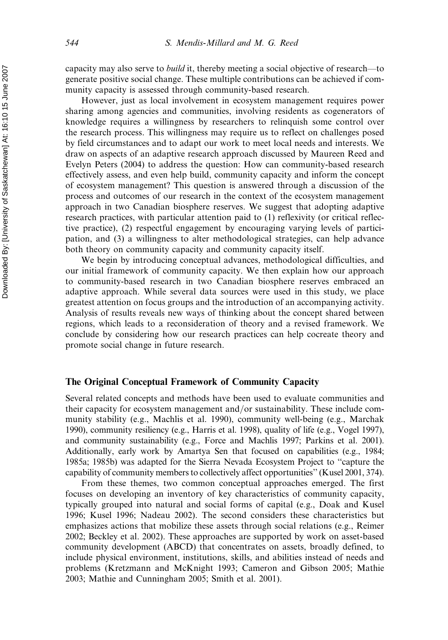capacity may also serve to build it, thereby meeting a social objective of research—to generate positive social change. These multiple contributions can be achieved if community capacity is assessed through community-based research.

However, just as local involvement in ecosystem management requires power sharing among agencies and communities, involving residents as cogenerators of knowledge requires a willingness by researchers to relinquish some control over the research process. This willingness may require us to reflect on challenges posed by field circumstances and to adapt our work to meet local needs and interests. We draw on aspects of an adaptive research approach discussed by Maureen Reed and Evelyn Peters (2004) to address the question: How can community-based research effectively assess, and even help build, community capacity and inform the concept of ecosystem management? This question is answered through a discussion of the process and outcomes of our research in the context of the ecosystem management approach in two Canadian biosphere reserves. We suggest that adopting adaptive research practices, with particular attention paid to (1) reflexivity (or critical reflective practice), (2) respectful engagement by encouraging varying levels of participation, and (3) a willingness to alter methodological strategies, can help advance both theory on community capacity and community capacity itself.

We begin by introducing conceptual advances, methodological difficulties, and our initial framework of community capacity. We then explain how our approach to community-based research in two Canadian biosphere reserves embraced an adaptive approach. While several data sources were used in this study, we place greatest attention on focus groups and the introduction of an accompanying activity. Analysis of results reveals new ways of thinking about the concept shared between regions, which leads to a reconsideration of theory and a revised framework. We conclude by considering how our research practices can help cocreate theory and promote social change in future research.

### The Original Conceptual Framework of Community Capacity

Several related concepts and methods have been used to evaluate communities and their capacity for ecosystem management and/or sustainability. These include community stability (e.g., Machlis et al. 1990), community well-being (e.g., Marchak 1990), community resiliency (e.g., Harris et al. 1998), quality of life (e.g., Vogel 1997), and community sustainability (e.g., Force and Machlis 1997; Parkins et al. 2001). Additionally, early work by Amartya Sen that focused on capabilities (e.g., 1984; 1985a; 1985b) was adapted for the Sierra Nevada Ecosystem Project to ''capture the capability of community members to collectively affect opportunities'' (Kusel 2001, 374).

From these themes, two common conceptual approaches emerged. The first focuses on developing an inventory of key characteristics of community capacity, typically grouped into natural and social forms of capital (e.g., Doak and Kusel 1996; Kusel 1996; Nadeau 2002). The second considers these characteristics but emphasizes actions that mobilize these assets through social relations (e.g., Reimer 2002; Beckley et al. 2002). These approaches are supported by work on asset-based community development (ABCD) that concentrates on assets, broadly defined, to include physical environment, institutions, skills, and abilities instead of needs and problems (Kretzmann and McKnight 1993; Cameron and Gibson 2005; Mathie 2003; Mathie and Cunningham 2005; Smith et al. 2001).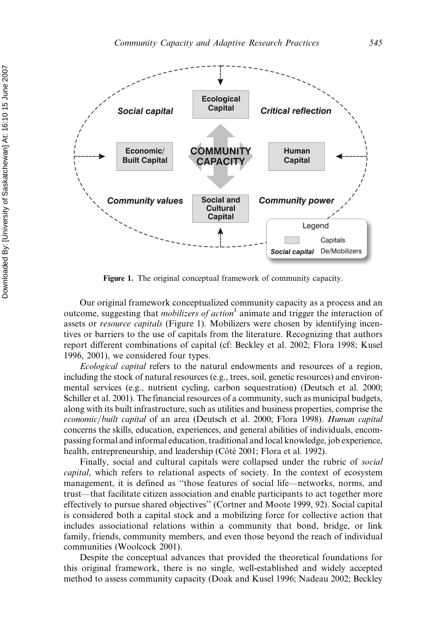

Figure 1. The original conceptual framework of community capacity.

Our original framework conceptualized community capacity as a process and an outcome, suggesting that *mobilizers of action*<sup>1</sup> animate and trigger the interaction of assets or resource capitals (Figure 1). Mobilizers were chosen by identifying incentives or barriers to the use of capitals from the literature. Recognizing that authors report different combinations of capital (cf: Beckley et al. 2002; Flora 1998; Kusel 1996, 2001), we considered four types.

Ecological capital refers to the natural endowments and resources of a region, including the stock of natural resources (e.g., trees, soil, genetic resources) and environmental services (e.g., nutrient cycling, carbon sequestration) (Deutsch et al. 2000; Schiller et al. 2001). The financial resources of a community, such as municipal budgets, along with its built infrastructure, such as utilities and business properties, comprise the economic/built capital of an area (Deutsch et al. 2000; Flora 1998). Human capital concerns the skills, education, experiences, and general abilities of individuals, encompassing formal and informal education, traditional and local knowledge, job experience, health, entrepreneurship, and leadership (Côté 2001; Flora et al. 1992).

Finally, social and cultural capitals were collapsed under the rubric of social capital, which refers to relational aspects of society. In the context of ecosystem management, it is defined as ''those features of social life—networks, norms, and trust—that facilitate citizen association and enable participants to act together more effectively to pursue shared objectives'' (Cortner and Moote 1999, 92). Social capital is considered both a capital stock and a mobilizing force for collective action that includes associational relations within a community that bond, bridge, or link family, friends, community members, and even those beyond the reach of individual communities (Woolcock 2001).

Despite the conceptual advances that provided the theoretical foundations for this original framework, there is no single, well-established and widely accepted method to assess community capacity (Doak and Kusel 1996; Nadeau 2002; Beckley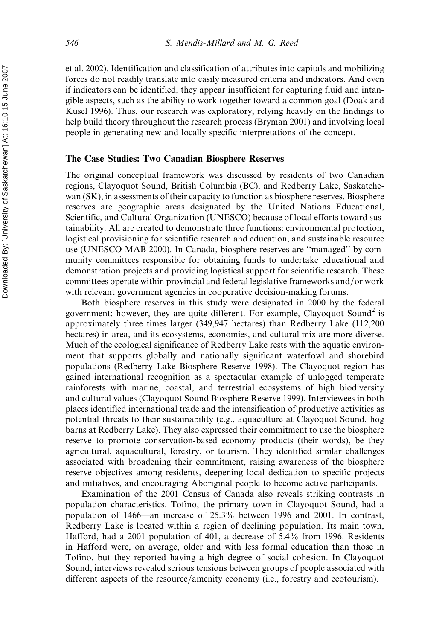et al. 2002). Identification and classification of attributes into capitals and mobilizing forces do not readily translate into easily measured criteria and indicators. And even if indicators can be identified, they appear insufficient for capturing fluid and intangible aspects, such as the ability to work together toward a common goal (Doak and Kusel 1996). Thus, our research was exploratory, relying heavily on the findings to help build theory throughout the research process (Bryman 2001) and involving local people in generating new and locally specific interpretations of the concept.

## The Case Studies: Two Canadian Biosphere Reserves

The original conceptual framework was discussed by residents of two Canadian regions, Clayoquot Sound, British Columbia (BC), and Redberry Lake, Saskatchewan (SK), in assessments of their capacity to function as biosphere reserves. Biosphere reserves are geographic areas designated by the United Nations Educational, Scientific, and Cultural Organization (UNESCO) because of local efforts toward sustainability. All are created to demonstrate three functions: environmental protection, logistical provisioning for scientific research and education, and sustainable resource use (UNESCO MAB 2000). In Canada, biosphere reserves are ''managed'' by community committees responsible for obtaining funds to undertake educational and demonstration projects and providing logistical support for scientific research. These committees operate within provincial and federal legislative frameworks and/or work with relevant government agencies in cooperative decision-making forums.

Both biosphere reserves in this study were designated in 2000 by the federal government; however, they are quite different. For example, Clayoquot Sound<sup>2</sup> is approximately three times larger (349,947 hectares) than Redberry Lake (112,200 hectares) in area, and its ecosystems, economies, and cultural mix are more diverse. Much of the ecological significance of Redberry Lake rests with the aquatic environment that supports globally and nationally significant waterfowl and shorebird populations (Redberry Lake Biosphere Reserve 1998). The Clayoquot region has gained international recognition as a spectacular example of unlogged temperate rainforests with marine, coastal, and terrestrial ecosystems of high biodiversity and cultural values (Clayoquot Sound Biosphere Reserve 1999). Interviewees in both places identified international trade and the intensification of productive activities as potential threats to their sustainability (e.g., aquaculture at Clayoquot Sound, hog barns at Redberry Lake). They also expressed their commitment to use the biosphere reserve to promote conservation-based economy products (their words), be they agricultural, aquacultural, forestry, or tourism. They identified similar challenges associated with broadening their commitment, raising awareness of the biosphere reserve objectives among residents, deepening local dedication to specific projects and initiatives, and encouraging Aboriginal people to become active participants.

Examination of the 2001 Census of Canada also reveals striking contrasts in population characteristics. Tofino, the primary town in Clayoquot Sound, had a population of 1466—an increase of 25.3% between 1996 and 2001. In contrast, Redberry Lake is located within a region of declining population. Its main town, Hafford, had a 2001 population of 401, a decrease of 5.4% from 1996. Residents in Hafford were, on average, older and with less formal education than those in Tofino, but they reported having a high degree of social cohesion. In Clayoquot Sound, interviews revealed serious tensions between groups of people associated with different aspects of the resource/amenity economy (i.e., forestry and ecotourism).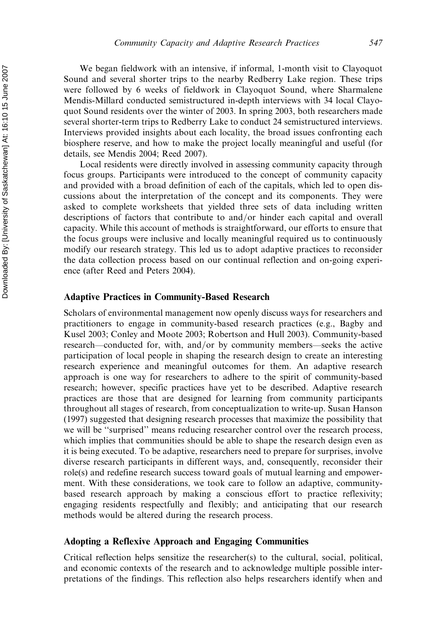We began fieldwork with an intensive, if informal, 1-month visit to Clayoquot Sound and several shorter trips to the nearby Redberry Lake region. These trips were followed by 6 weeks of fieldwork in Clayoquot Sound, where Sharmalene Mendis-Millard conducted semistructured in-depth interviews with 34 local Clayoquot Sound residents over the winter of 2003. In spring 2003, both researchers made several shorter-term trips to Redberry Lake to conduct 24 semistructured interviews. Interviews provided insights about each locality, the broad issues confronting each biosphere reserve, and how to make the project locally meaningful and useful (for details, see Mendis 2004; Reed 2007).

Local residents were directly involved in assessing community capacity through focus groups. Participants were introduced to the concept of community capacity and provided with a broad definition of each of the capitals, which led to open discussions about the interpretation of the concept and its components. They were asked to complete worksheets that yielded three sets of data including written descriptions of factors that contribute to and/or hinder each capital and overall capacity. While this account of methods is straightforward, our efforts to ensure that the focus groups were inclusive and locally meaningful required us to continuously modify our research strategy. This led us to adopt adaptive practices to reconsider the data collection process based on our continual reflection and on-going experience (after Reed and Peters 2004).

#### Adaptive Practices in Community-Based Research

Scholars of environmental management now openly discuss ways for researchers and practitioners to engage in community-based research practices (e.g., Bagby and Kusel 2003; Conley and Moote 2003; Robertson and Hull 2003). Community-based research—conducted for, with, and/or by community members—seeks the active participation of local people in shaping the research design to create an interesting research experience and meaningful outcomes for them. An adaptive research approach is one way for researchers to adhere to the spirit of community-based research; however, specific practices have yet to be described. Adaptive research practices are those that are designed for learning from community participants throughout all stages of research, from conceptualization to write-up. Susan Hanson (1997) suggested that designing research processes that maximize the possibility that we will be ''surprised'' means reducing researcher control over the research process, which implies that communities should be able to shape the research design even as it is being executed. To be adaptive, researchers need to prepare for surprises, involve diverse research participants in different ways, and, consequently, reconsider their role(s) and redefine research success toward goals of mutual learning and empowerment. With these considerations, we took care to follow an adaptive, communitybased research approach by making a conscious effort to practice reflexivity; engaging residents respectfully and flexibly; and anticipating that our research methods would be altered during the research process.

## Adopting a Reflexive Approach and Engaging Communities

Critical reflection helps sensitize the researcher(s) to the cultural, social, political, and economic contexts of the research and to acknowledge multiple possible interpretations of the findings. This reflection also helps researchers identify when and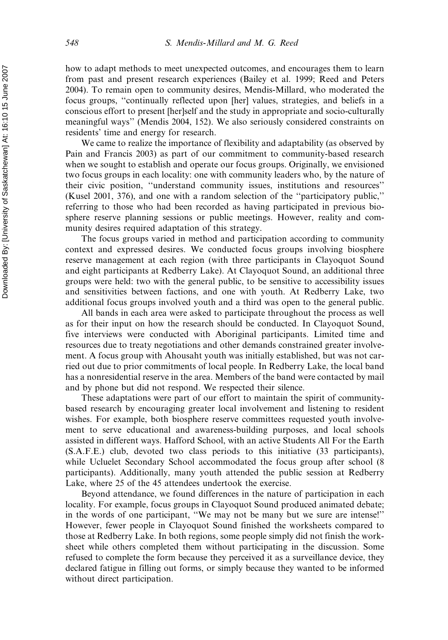how to adapt methods to meet unexpected outcomes, and encourages them to learn from past and present research experiences (Bailey et al. 1999; Reed and Peters 2004). To remain open to community desires, Mendis-Millard, who moderated the focus groups, ''continually reflected upon [her] values, strategies, and beliefs in a conscious effort to present [her]self and the study in appropriate and socio-culturally meaningful ways'' (Mendis 2004, 152). We also seriously considered constraints on residents' time and energy for research.

We came to realize the importance of flexibility and adaptability (as observed by Pain and Francis 2003) as part of our commitment to community-based research when we sought to establish and operate our focus groups. Originally, we envisioned two focus groups in each locality: one with community leaders who, by the nature of their civic position, ''understand community issues, institutions and resources'' (Kusel 2001, 376), and one with a random selection of the ''participatory public,'' referring to those who had been recorded as having participated in previous biosphere reserve planning sessions or public meetings. However, reality and community desires required adaptation of this strategy.

The focus groups varied in method and participation according to community context and expressed desires. We conducted focus groups involving biosphere reserve management at each region (with three participants in Clayoquot Sound and eight participants at Redberry Lake). At Clayoquot Sound, an additional three groups were held: two with the general public, to be sensitive to accessibility issues and sensitivities between factions, and one with youth. At Redberry Lake, two additional focus groups involved youth and a third was open to the general public.

All bands in each area were asked to participate throughout the process as well as for their input on how the research should be conducted. In Clayoquot Sound, five interviews were conducted with Aboriginal participants. Limited time and resources due to treaty negotiations and other demands constrained greater involvement. A focus group with Ahousaht youth was initially established, but was not carried out due to prior commitments of local people. In Redberry Lake, the local band has a nonresidential reserve in the area. Members of the band were contacted by mail and by phone but did not respond. We respected their silence.

These adaptations were part of our effort to maintain the spirit of communitybased research by encouraging greater local involvement and listening to resident wishes. For example, both biosphere reserve committees requested youth involvement to serve educational and awareness-building purposes, and local schools assisted in different ways. Hafford School, with an active Students All For the Earth (S.A.F.E.) club, devoted two class periods to this initiative (33 participants), while Ucluelet Secondary School accommodated the focus group after school (8) participants). Additionally, many youth attended the public session at Redberry Lake, where 25 of the 45 attendees undertook the exercise.

Beyond attendance, we found differences in the nature of participation in each locality. For example, focus groups in Clayoquot Sound produced animated debate; in the words of one participant, ''We may not be many but we sure are intense!'' However, fewer people in Clayoquot Sound finished the worksheets compared to those at Redberry Lake. In both regions, some people simply did not finish the worksheet while others completed them without participating in the discussion. Some refused to complete the form because they perceived it as a surveillance device, they declared fatigue in filling out forms, or simply because they wanted to be informed without direct participation.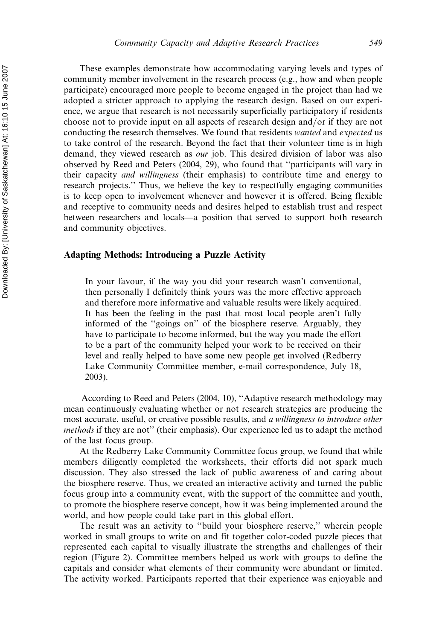These examples demonstrate how accommodating varying levels and types of community member involvement in the research process (e.g., how and when people participate) encouraged more people to become engaged in the project than had we adopted a stricter approach to applying the research design. Based on our experience, we argue that research is not necessarily superficially participatory if residents choose not to provide input on all aspects of research design and/or if they are not conducting the research themselves. We found that residents *wanted* and *expected* us to take control of the research. Beyond the fact that their volunteer time is in high demand, they viewed research as *our* job. This desired division of labor was also observed by Reed and Peters (2004, 29), who found that ''participants will vary in their capacity and willingness (their emphasis) to contribute time and energy to research projects.'' Thus, we believe the key to respectfully engaging communities is to keep open to involvement whenever and however it is offered. Being flexible and receptive to community needs and desires helped to establish trust and respect between researchers and locals—a position that served to support both research and community objectives.

### Adapting Methods: Introducing a Puzzle Activity

In your favour, if the way you did your research wasn't conventional, then personally I definitely think yours was the more effective approach and therefore more informative and valuable results were likely acquired. It has been the feeling in the past that most local people aren't fully informed of the ''goings on'' of the biosphere reserve. Arguably, they have to participate to become informed, but the way you made the effort to be a part of the community helped your work to be received on their level and really helped to have some new people get involved (Redberry Lake Community Committee member, e-mail correspondence, July 18, 2003).

According to Reed and Peters (2004, 10), ''Adaptive research methodology may mean continuously evaluating whether or not research strategies are producing the most accurate, useful, or creative possible results, and a willingness to introduce other methods if they are not'' (their emphasis). Our experience led us to adapt the method of the last focus group.

At the Redberry Lake Community Committee focus group, we found that while members diligently completed the worksheets, their efforts did not spark much discussion. They also stressed the lack of public awareness of and caring about the biosphere reserve. Thus, we created an interactive activity and turned the public focus group into a community event, with the support of the committee and youth, to promote the biosphere reserve concept, how it was being implemented around the world, and how people could take part in this global effort.

The result was an activity to ''build your biosphere reserve,'' wherein people worked in small groups to write on and fit together color-coded puzzle pieces that represented each capital to visually illustrate the strengths and challenges of their region (Figure 2). Committee members helped us work with groups to define the capitals and consider what elements of their community were abundant or limited. The activity worked. Participants reported that their experience was enjoyable and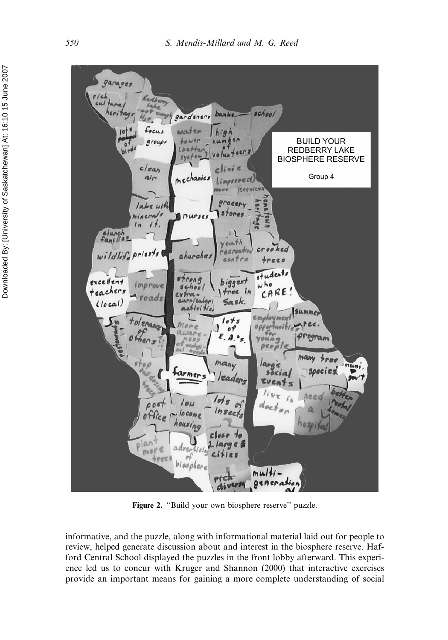

Figure 2. "Build your own biosphere reserve" puzzle.

informative, and the puzzle, along with informational material laid out for people to review, helped generate discussion about and interest in the biosphere reserve. Hafford Central School displayed the puzzles in the front lobby afterward. This experience led us to concur with Kruger and Shannon (2000) that interactive exercises provide an important means for gaining a more complete understanding of social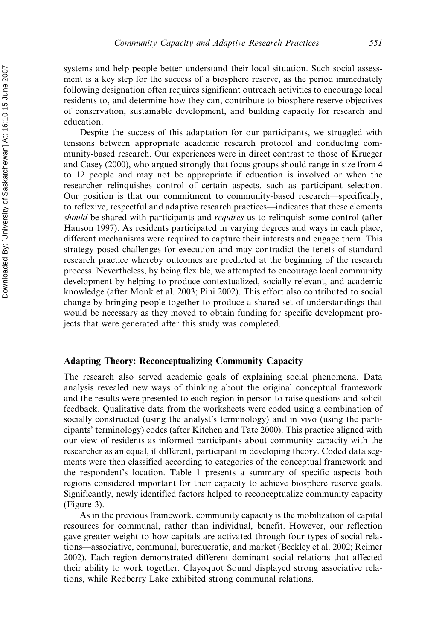systems and help people better understand their local situation. Such social assessment is a key step for the success of a biosphere reserve, as the period immediately following designation often requires significant outreach activities to encourage local residents to, and determine how they can, contribute to biosphere reserve objectives of conservation, sustainable development, and building capacity for research and education.

Despite the success of this adaptation for our participants, we struggled with tensions between appropriate academic research protocol and conducting community-based research. Our experiences were in direct contrast to those of Krueger and Casey (2000), who argued strongly that focus groups should range in size from 4 to 12 people and may not be appropriate if education is involved or when the researcher relinquishes control of certain aspects, such as participant selection. Our position is that our commitment to community-based research—specifically, to reflexive, respectful and adaptive research practices—indicates that these elements should be shared with participants and *requires* us to relinquish some control (after Hanson 1997). As residents participated in varying degrees and ways in each place, different mechanisms were required to capture their interests and engage them. This strategy posed challenges for execution and may contradict the tenets of standard research practice whereby outcomes are predicted at the beginning of the research process. Nevertheless, by being flexible, we attempted to encourage local community development by helping to produce contextualized, socially relevant, and academic knowledge (after Monk et al. 2003; Pini 2002). This effort also contributed to social change by bringing people together to produce a shared set of understandings that would be necessary as they moved to obtain funding for specific development projects that were generated after this study was completed.

### Adapting Theory: Reconceptualizing Community Capacity

The research also served academic goals of explaining social phenomena. Data analysis revealed new ways of thinking about the original conceptual framework and the results were presented to each region in person to raise questions and solicit feedback. Qualitative data from the worksheets were coded using a combination of socially constructed (using the analyst's terminology) and in vivo (using the participants' terminology) codes (after Kitchen and Tate 2000). This practice aligned with our view of residents as informed participants about community capacity with the researcher as an equal, if different, participant in developing theory. Coded data segments were then classified according to categories of the conceptual framework and the respondent's location. Table 1 presents a summary of specific aspects both regions considered important for their capacity to achieve biosphere reserve goals. Significantly, newly identified factors helped to reconceptualize community capacity (Figure 3).

As in the previous framework, community capacity is the mobilization of capital resources for communal, rather than individual, benefit. However, our reflection gave greater weight to how capitals are activated through four types of social relations—associative, communal, bureaucratic, and market (Beckley et al. 2002; Reimer 2002). Each region demonstrated different dominant social relations that affected their ability to work together. Clayoquot Sound displayed strong associative relations, while Redberry Lake exhibited strong communal relations.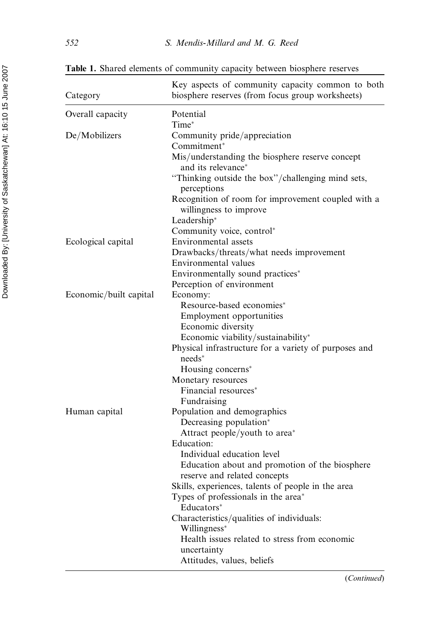Category Key aspects of community capacity common to both biosphere reserves (from focus group worksheets) Overall capacity Potential Time De/Mobilizers Community pride/appreciation Commitment Mis/understanding the biosphere reserve concept and its relevance "Thinking outside the box"/challenging mind sets, perceptions Recognition of room for improvement coupled with a willingness to improve Leadership Community voice, control Ecological capital Environmental assets Drawbacks/threats/what needs improvement Environmental values Environmentally sound practices Perception of environment Economic/built capital Economy: Resource-based economies Employment opportunities Economic diversity Economic viability/sustainability\* Physical infrastructure for a variety of purposes and needs Housing concerns Monetary resources Financial resources Fundraising Human capital Population and demographics Decreasing population Attract people/youth to area\* Education: Individual education level Education about and promotion of the biosphere reserve and related concepts Skills, experiences, talents of people in the area Types of professionals in the area Educators Characteristics/qualities of individuals: Willingness Health issues related to stress from economic uncertainty Attitudes, values, beliefs

Table 1. Shared elements of community capacity between biosphere reserves

(Continued)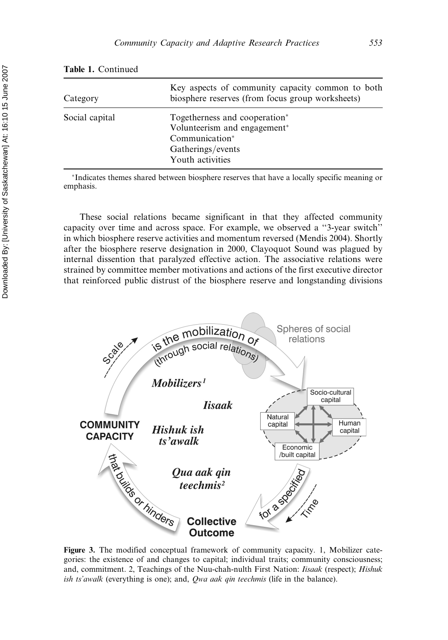| Category       | Key aspects of community capacity common to both<br>biosphere reserves (from focus group worksheets)                                             |
|----------------|--------------------------------------------------------------------------------------------------------------------------------------------------|
| Social capital | Togetherness and cooperation <sup>*</sup><br>Volunteerism and engagement <sup>*</sup><br>Communication*<br>Gatherings/events<br>Youth activities |

|  |  | <b>Table 1. Continued</b> |
|--|--|---------------------------|
|--|--|---------------------------|

Indicates themes shared between biosphere reserves that have a locally specific meaning or emphasis.

These social relations became significant in that they affected community capacity over time and across space. For example, we observed a ''3-year switch'' in which biosphere reserve activities and momentum reversed (Mendis 2004). Shortly after the biosphere reserve designation in 2000, Clayoquot Sound was plagued by internal dissention that paralyzed effective action. The associative relations were strained by committee member motivations and actions of the first executive director that reinforced public distrust of the biosphere reserve and longstanding divisions



gories: the existence of and changes to capital; individual traits; community consciousness; and, commitment. 2, Teachings of the Nuu-chah-nulth First Nation: Iisaak (respect); Hishuk ish ts'awalk (everything is one); and,  $Q$ wa aak qin teechmis (life in the balance).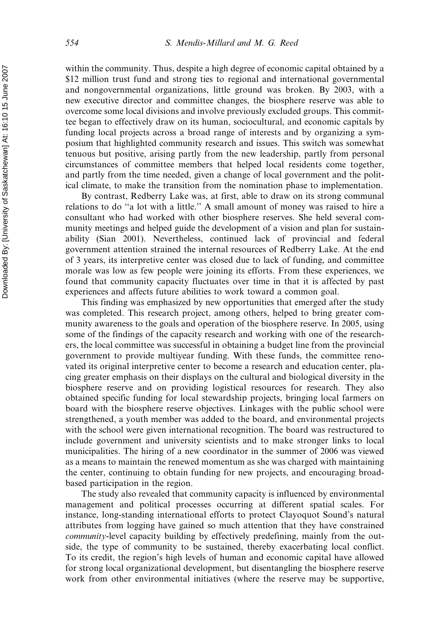within the community. Thus, despite a high degree of economic capital obtained by a \$12 million trust fund and strong ties to regional and international governmental and nongovernmental organizations, little ground was broken. By 2003, with a new executive director and committee changes, the biosphere reserve was able to overcome some local divisions and involve previously excluded groups. This committee began to effectively draw on its human, sociocultural, and economic capitals by funding local projects across a broad range of interests and by organizing a symposium that highlighted community research and issues. This switch was somewhat tenuous but positive, arising partly from the new leadership, partly from personal circumstances of committee members that helped local residents come together, and partly from the time needed, given a change of local government and the political climate, to make the transition from the nomination phase to implementation.

By contrast, Redberry Lake was, at first, able to draw on its strong communal relations to do ''a lot with a little.'' A small amount of money was raised to hire a consultant who had worked with other biosphere reserves. She held several community meetings and helped guide the development of a vision and plan for sustainability (Sian 2001). Nevertheless, continued lack of provincial and federal government attention strained the internal resources of Redberry Lake. At the end of 3 years, its interpretive center was closed due to lack of funding, and committee morale was low as few people were joining its efforts. From these experiences, we found that community capacity fluctuates over time in that it is affected by past experiences and affects future abilities to work toward a common goal.

This finding was emphasized by new opportunities that emerged after the study was completed. This research project, among others, helped to bring greater community awareness to the goals and operation of the biosphere reserve. In 2005, using some of the findings of the capacity research and working with one of the researchers, the local committee was successful in obtaining a budget line from the provincial government to provide multiyear funding. With these funds, the committee renovated its original interpretive center to become a research and education center, placing greater emphasis on their displays on the cultural and biological diversity in the biosphere reserve and on providing logistical resources for research. They also obtained specific funding for local stewardship projects, bringing local farmers on board with the biosphere reserve objectives. Linkages with the public school were strengthened, a youth member was added to the board, and environmental projects with the school were given international recognition. The board was restructured to include government and university scientists and to make stronger links to local municipalities. The hiring of a new coordinator in the summer of 2006 was viewed as a means to maintain the renewed momentum as she was charged with maintaining the center, continuing to obtain funding for new projects, and encouraging broadbased participation in the region.

The study also revealed that community capacity is influenced by environmental management and political processes occurring at different spatial scales. For instance, long-standing international efforts to protect Clayoquot Sound's natural attributes from logging have gained so much attention that they have constrained community-level capacity building by effectively predefining, mainly from the outside, the type of community to be sustained, thereby exacerbating local conflict. To its credit, the region's high levels of human and economic capital have allowed for strong local organizational development, but disentangling the biosphere reserve work from other environmental initiatives (where the reserve may be supportive,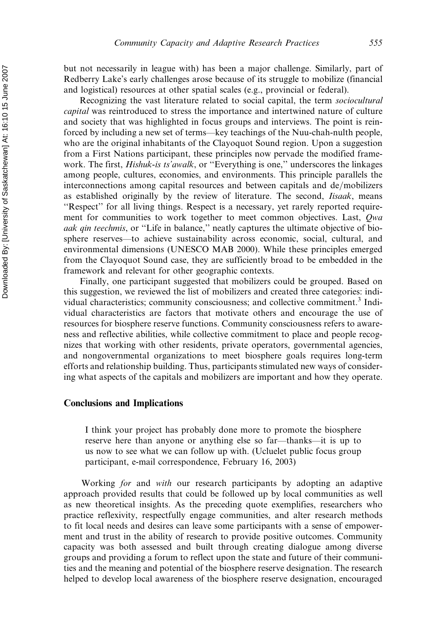but not necessarily in league with) has been a major challenge. Similarly, part of Redberry Lake's early challenges arose because of its struggle to mobilize (financial and logistical) resources at other spatial scales (e.g., provincial or federal).

Recognizing the vast literature related to social capital, the term sociocultural capital was reintroduced to stress the importance and intertwined nature of culture and society that was highlighted in focus groups and interviews. The point is reinforced by including a new set of terms—key teachings of the Nuu-chah-nulth people, who are the original inhabitants of the Clayoquot Sound region. Upon a suggestion from a First Nations participant, these principles now pervade the modified framework. The first, *Hishuk-is ts'awalk*, or "Everything is one," underscores the linkages among people, cultures, economies, and environments. This principle parallels the interconnections among capital resources and between capitals and  $de/m$ obilizers as established originally by the review of literature. The second, *Iisaak*, means ''Respect'' for all living things. Respect is a necessary, yet rarely reported requirement for communities to work together to meet common objectives. Last, *Qwa aak qin teechmis*, or "Life in balance," neatly captures the ultimate objective of biosphere reserves—to achieve sustainability across economic, social, cultural, and environmental dimensions (UNESCO MAB 2000). While these principles emerged from the Clayoquot Sound case, they are sufficiently broad to be embedded in the framework and relevant for other geographic contexts.

Finally, one participant suggested that mobilizers could be grouped. Based on this suggestion, we reviewed the list of mobilizers and created three categories: individual characteristics; community consciousness; and collective commitment.<sup>3</sup> Individual characteristics are factors that motivate others and encourage the use of resources for biosphere reserve functions. Community consciousness refers to awareness and reflective abilities, while collective commitment to place and people recognizes that working with other residents, private operators, governmental agencies, and nongovernmental organizations to meet biosphere goals requires long-term efforts and relationship building. Thus, participants stimulated new ways of considering what aspects of the capitals and mobilizers are important and how they operate.

#### Conclusions and Implications

I think your project has probably done more to promote the biosphere reserve here than anyone or anything else so far—thanks—it is up to us now to see what we can follow up with. (Ucluelet public focus group participant, e-mail correspondence, February 16, 2003)

Working for and with our research participants by adopting an adaptive approach provided results that could be followed up by local communities as well as new theoretical insights. As the preceding quote exemplifies, researchers who practice reflexivity, respectfully engage communities, and alter research methods to fit local needs and desires can leave some participants with a sense of empowerment and trust in the ability of research to provide positive outcomes. Community capacity was both assessed and built through creating dialogue among diverse groups and providing a forum to reflect upon the state and future of their communities and the meaning and potential of the biosphere reserve designation. The research helped to develop local awareness of the biosphere reserve designation, encouraged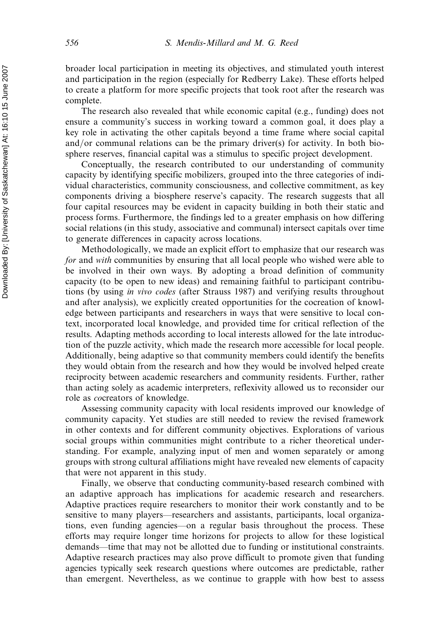broader local participation in meeting its objectives, and stimulated youth interest and participation in the region (especially for Redberry Lake). These efforts helped to create a platform for more specific projects that took root after the research was complete.

The research also revealed that while economic capital (e.g., funding) does not ensure a community's success in working toward a common goal, it does play a key role in activating the other capitals beyond a time frame where social capital and/or communal relations can be the primary driver(s) for activity. In both biosphere reserves, financial capital was a stimulus to specific project development.

Conceptually, the research contributed to our understanding of community capacity by identifying specific mobilizers, grouped into the three categories of individual characteristics, community consciousness, and collective commitment, as key components driving a biosphere reserve's capacity. The research suggests that all four capital resources may be evident in capacity building in both their static and process forms. Furthermore, the findings led to a greater emphasis on how differing social relations (in this study, associative and communal) intersect capitals over time to generate differences in capacity across locations.

Methodologically, we made an explicit effort to emphasize that our research was for and with communities by ensuring that all local people who wished were able to be involved in their own ways. By adopting a broad definition of community capacity (to be open to new ideas) and remaining faithful to participant contributions (by using in vivo codes (after Strauss 1987) and verifying results throughout and after analysis), we explicitly created opportunities for the cocreation of knowledge between participants and researchers in ways that were sensitive to local context, incorporated local knowledge, and provided time for critical reflection of the results. Adapting methods according to local interests allowed for the late introduction of the puzzle activity, which made the research more accessible for local people. Additionally, being adaptive so that community members could identify the benefits they would obtain from the research and how they would be involved helped create reciprocity between academic researchers and community residents. Further, rather than acting solely as academic interpreters, reflexivity allowed us to reconsider our role as cocreators of knowledge.

Assessing community capacity with local residents improved our knowledge of community capacity. Yet studies are still needed to review the revised framework in other contexts and for different community objectives. Explorations of various social groups within communities might contribute to a richer theoretical understanding. For example, analyzing input of men and women separately or among groups with strong cultural affiliations might have revealed new elements of capacity that were not apparent in this study.

Finally, we observe that conducting community-based research combined with an adaptive approach has implications for academic research and researchers. Adaptive practices require researchers to monitor their work constantly and to be sensitive to many players—researchers and assistants, participants, local organizations, even funding agencies—on a regular basis throughout the process. These efforts may require longer time horizons for projects to allow for these logistical demands—time that may not be allotted due to funding or institutional constraints. Adaptive research practices may also prove difficult to promote given that funding agencies typically seek research questions where outcomes are predictable, rather than emergent. Nevertheless, as we continue to grapple with how best to assess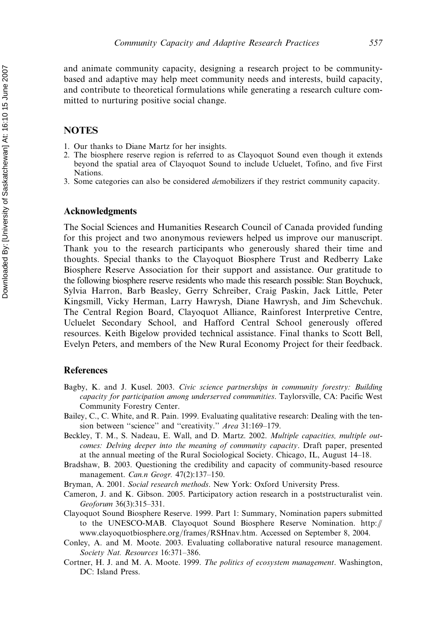and animate community capacity, designing a research project to be communitybased and adaptive may help meet community needs and interests, build capacity, and contribute to theoretical formulations while generating a research culture committed to nurturing positive social change.

# **NOTES**

- 1. Our thanks to Diane Martz for her insights.
- 2. The biosphere reserve region is referred to as Clayoquot Sound even though it extends beyond the spatial area of Clayoquot Sound to include Ucluelet, Tofino, and five First Nations.
- 3. Some categories can also be considered demobilizers if they restrict community capacity.

#### Acknowledgments

The Social Sciences and Humanities Research Council of Canada provided funding for this project and two anonymous reviewers helped us improve our manuscript. Thank you to the research participants who generously shared their time and thoughts. Special thanks to the Clayoquot Biosphere Trust and Redberry Lake Biosphere Reserve Association for their support and assistance. Our gratitude to the following biosphere reserve residents who made this research possible: Stan Boychuck, Sylvia Harron, Barb Beasley, Gerry Schreiber, Craig Paskin, Jack Little, Peter Kingsmill, Vicky Herman, Larry Hawrysh, Diane Hawrysh, and Jim Schevchuk. The Central Region Board, Clayoquot Alliance, Rainforest Interpretive Centre, Ucluelet Secondary School, and Hafford Central School generously offered resources. Keith Bigelow provided technical assistance. Final thanks to Scott Bell, Evelyn Peters, and members of the New Rural Economy Project for their feedback.

#### References

- Bagby, K. and J. Kusel. 2003. Civic science partnerships in community forestry: Building capacity for participation among underserved communities. Taylorsville, CA: Pacific West Community Forestry Center.
- Bailey, C., C. White, and R. Pain. 1999. Evaluating qualitative research: Dealing with the tension between "science" and "creativity." Area 31:169-179.
- Beckley, T. M., S. Nadeau, E. Wall, and D. Martz. 2002. Multiple capacities, multiple outcomes: Delving deeper into the meaning of community capacity. Draft paper, presented at the annual meeting of the Rural Sociological Society. Chicago, IL, August 14–18.
- Bradshaw, B. 2003. Questioning the credibility and capacity of community-based resource management. *Can.n Geogr.* 47(2):137–150.
- Bryman, A. 2001. Social research methods. New York: Oxford University Press.
- Cameron, J. and K. Gibson. 2005. Participatory action research in a poststructuralist vein. Geoforum 36(3):315–331.
- Clayoquot Sound Biosphere Reserve. 1999. Part 1: Summary, Nomination papers submitted to the UNESCO-MAB. Clayoquot Sound Biosphere Reserve Nomination. http:// www.clayoquotbiosphere.org/frames/RSHnav.htm. Accessed on September 8, 2004.
- Conley, A. and M. Moote. 2003. Evaluating collaborative natural resource management. Society Nat. Resources 16:371–386.
- Cortner, H. J. and M. A. Moote. 1999. The politics of ecosystem management. Washington, DC: Island Press.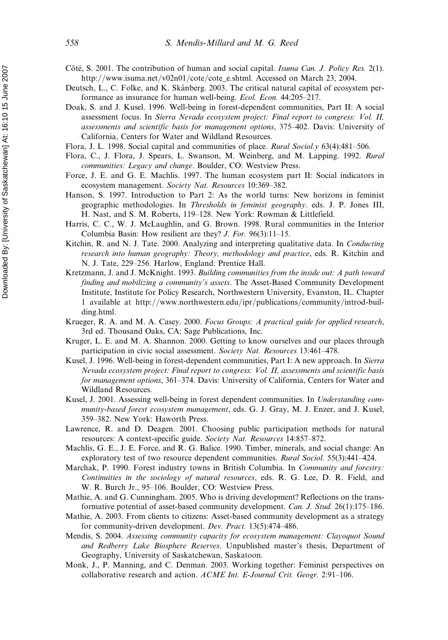- Côté, S. 2001. The contribution of human and social capital. *Isuma Can. J. Policy Res.* 2(1). http://www.isuma.net/v02n01/cote/cote\_e.shtml. Accessed on March 23, 2004.
- Deutsch, L., C. Folke, and K. Skånberg. 2003. The critical natural capital of ecosystem performance as insurance for human well-being. Ecol. Econ. 44:205–217.
- Doak, S. and J. Kusel. 1996. Well-being in forest-dependent communities, Part II: A social assessment focus. In Sierra Nevada ecosystem project: Final report to congress: Vol. II, assessments and scientific basis for management options, 375–402. Davis: University of California, Centers for Water and Wildland Resources.
- Flora, J. L. 1998. Social capital and communities of place. Rural Sociol.y 63(4):481–506.
- Flora, C., J. Flora, J. Spears, L. Swanson, M. Weinberg, and M. Lapping. 1992. Rural communities: Legacy and change. Boulder, CO: Westview Press.
- Force, J. E. and G. E. Machlis. 1997. The human ecosystem part II: Social indicators in ecosystem management. Society Nat. Resources 10:369–382.
- Hanson, S. 1997. Introduction to Part 2: As the world turns: New horizons in feminist geographic methodologies. In Thresholds in feminist geography. eds. J. P. Jones III, H. Nast, and S. M. Roberts, 119–128. New York: Rowman & Littlefield.
- Harris, C. C., W. J. McLaughlin, and G. Brown. 1998. Rural communities in the Interior Columbia Basin: How resilient are they? *J. For.* 96(3):11–15.
- Kitchin, R. and N. J. Tate. 2000. Analyzing and interpreting qualitative data. In Conducting research into human geography: Theory, methodology and practice, eds. R. Kitchin and N. J. Tate, 229–256. Harlow, England: Prentice Hall.
- Kretzmann, J. and J. McKnight. 1993. Building communities from the inside out: A path toward finding and mobilizing a community's assets. The Asset-Based Community Development Institute, Institute for Policy Research, Northwestern University, Evanston, IL. Chapter 1 available at http://www.northwestern.edu/ipr/publications/community/introd-building.html.
- Krueger, R. A. and M. A. Casey. 2000. Focus Groups: A practical guide for applied research, 3rd ed. Thousand Oaks, CA: Sage Publications, Inc.
- Kruger, L. E. and M. A. Shannon. 2000. Getting to know ourselves and our places through participation in civic social assessment. Society Nat. Resources 13:461-478.
- Kusel, J. 1996. Well-being in forest-dependent communities, Part I: A new approach. In Sierra Nevada ecosystem project: Final report to congress: Vol. II, assessments and scientific basis for management options, 361–374. Davis: University of California, Centers for Water and Wildland Resources.
- Kusel, J. 2001. Assessing well-being in forest dependent communities. In Understanding community-based forest ecosystem management, eds. G. J. Gray, M. J. Enzer, and J. Kusel, 359–382. New York: Haworth Press.
- Lawrence, R. and D. Deagen. 2001. Choosing public participation methods for natural resources: A context-specific guide. Society Nat. Resources 14:857-872.
- Machlis, G. E., J. E. Force, and R. G. Balice. 1990. Timber, minerals, and social change: An exploratory test of two resource dependent communities. Rural Sociol. 55(3):441–424.
- Marchak, P. 1990. Forest industry towns in British Columbia. In Community and forestry: Continuities in the sociology of natural resources, eds. R. G. Lee, D. R. Field, and W. R. Burch Jr., 95–106. Boulder, CO: Westview Press.
- Mathie, A. and G. Cunningham. 2005. Who is driving development? Reflections on the transformative potential of asset-based community development. Can. J. Stud. 26(1):175-186.
- Mathie, A. 2003. From clients to citizens: Asset-based community development as a strategy for community-driven development. Dev. Pract. 13(5):474–486.
- Mendis, S. 2004. Assessing community capacity for ecosystem management: Clayoquot Sound and Redberry Lake Biosphere Reserves. Unpublished master's thesis, Department of Geography, University of Saskatchewan, Saskatoon.
- Monk, J., P. Manning, and C. Denman. 2003. Working together: Feminist perspectives on collaborative research and action. ACME Int. E-Journal Crit. Geogr. 2:91–106.